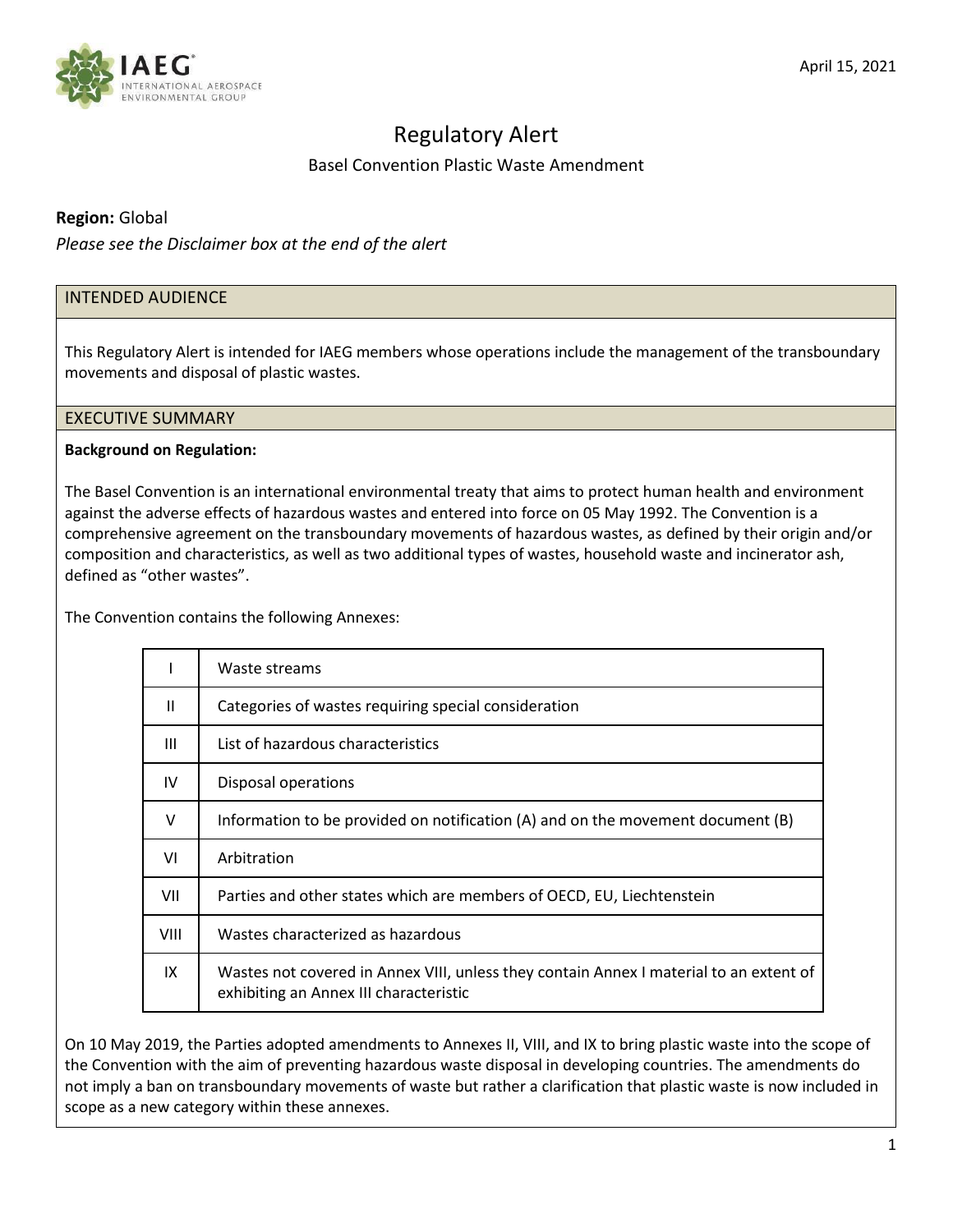

# Regulatory Alert

Basel Convention Plastic Waste Amendment

# **Region:** Global

*Please see the Disclaimer box at the end of the alert*

# INTENDED AUDIENCE

This Regulatory Alert is intended for IAEG members whose operations include the management of the transboundary movements and disposal of plastic wastes.

# EXECUTIVE SUMMARY

# **Background on Regulation:**

The Basel Convention is an international environmental treaty that aims to protect human health and environment against the adverse effects of hazardous wastes and entered into force on 05 May 1992. The Convention is a comprehensive agreement on the transboundary movements of hazardous wastes, as defined by their origin and/or composition and characteristics, as well as two additional types of wastes, household waste and incinerator ash, defined as "other wastes".

The Convention contains the following Annexes:

|             | Waste streams                                                                                                                    |
|-------------|----------------------------------------------------------------------------------------------------------------------------------|
| Ш           | Categories of wastes requiring special consideration                                                                             |
| Ш           | List of hazardous characteristics                                                                                                |
| IV          | Disposal operations                                                                                                              |
| $\vee$      | Information to be provided on notification (A) and on the movement document (B)                                                  |
| VI          | Arbitration                                                                                                                      |
| VII         | Parties and other states which are members of OECD, EU, Liechtenstein                                                            |
| <b>VIII</b> | Wastes characterized as hazardous                                                                                                |
| IX          | Wastes not covered in Annex VIII, unless they contain Annex I material to an extent of<br>exhibiting an Annex III characteristic |

On 10 May 2019, the Parties adopted amendments to Annexes II, VIII, and IX to bring plastic waste into the scope of the Convention with the aim of preventing hazardous waste disposal in developing countries. The amendments do not imply a ban on transboundary movements of waste but rather a clarification that plastic waste is now included in scope as a new category within these annexes.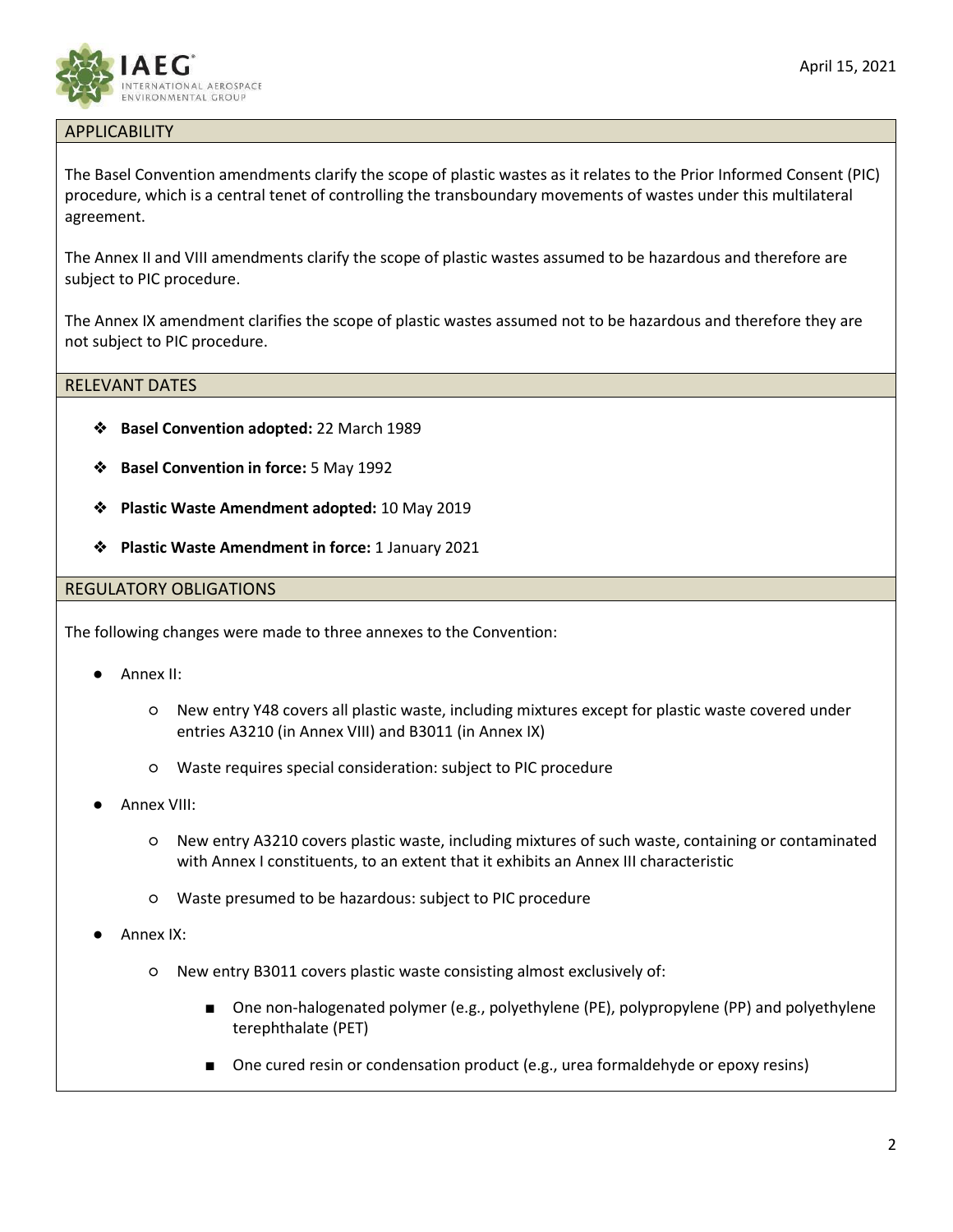

# APPLICABILITY

The Basel Convention amendments clarify the scope of plastic wastes as it relates to the Prior Informed Consent (PIC) procedure, which is a central tenet of controlling the transboundary movements of wastes under this multilateral agreement.

The Annex II and VIII amendments clarify the scope of plastic wastes assumed to be hazardous and therefore are subject to PIC procedure.

The Annex IX amendment clarifies the scope of plastic wastes assumed not to be hazardous and therefore they are not subject to PIC procedure.

#### RELEVANT DATES

- ❖ **Basel Convention adopted:** 22 March 1989
- ❖ **Basel Convention in force:** 5 May 1992
- ❖ **Plastic Waste Amendment adopted:** 10 May 2019
- ❖ **Plastic Waste Amendment in force:** 1 January 2021

#### REGULATORY OBLIGATIONS

The following changes were made to three annexes to the Convention:

- Annex II:
	- New entry Y48 covers all plastic waste, including mixtures except for plastic waste covered under entries A3210 (in Annex VIII) and B3011 (in Annex IX)
	- Waste requires special consideration: subject to PIC procedure
- Annex VIII:
	- New entry A3210 covers plastic waste, including mixtures of such waste, containing or contaminated with Annex I constituents, to an extent that it exhibits an Annex III characteristic
	- Waste presumed to be hazardous: subject to PIC procedure
- Annex IX:
	- New entry B3011 covers plastic waste consisting almost exclusively of:
		- One non-halogenated polymer (e.g., polyethylene (PE), polypropylene (PP) and polyethylene terephthalate (PET)
		- One cured resin or condensation product (e.g., urea formaldehyde or epoxy resins)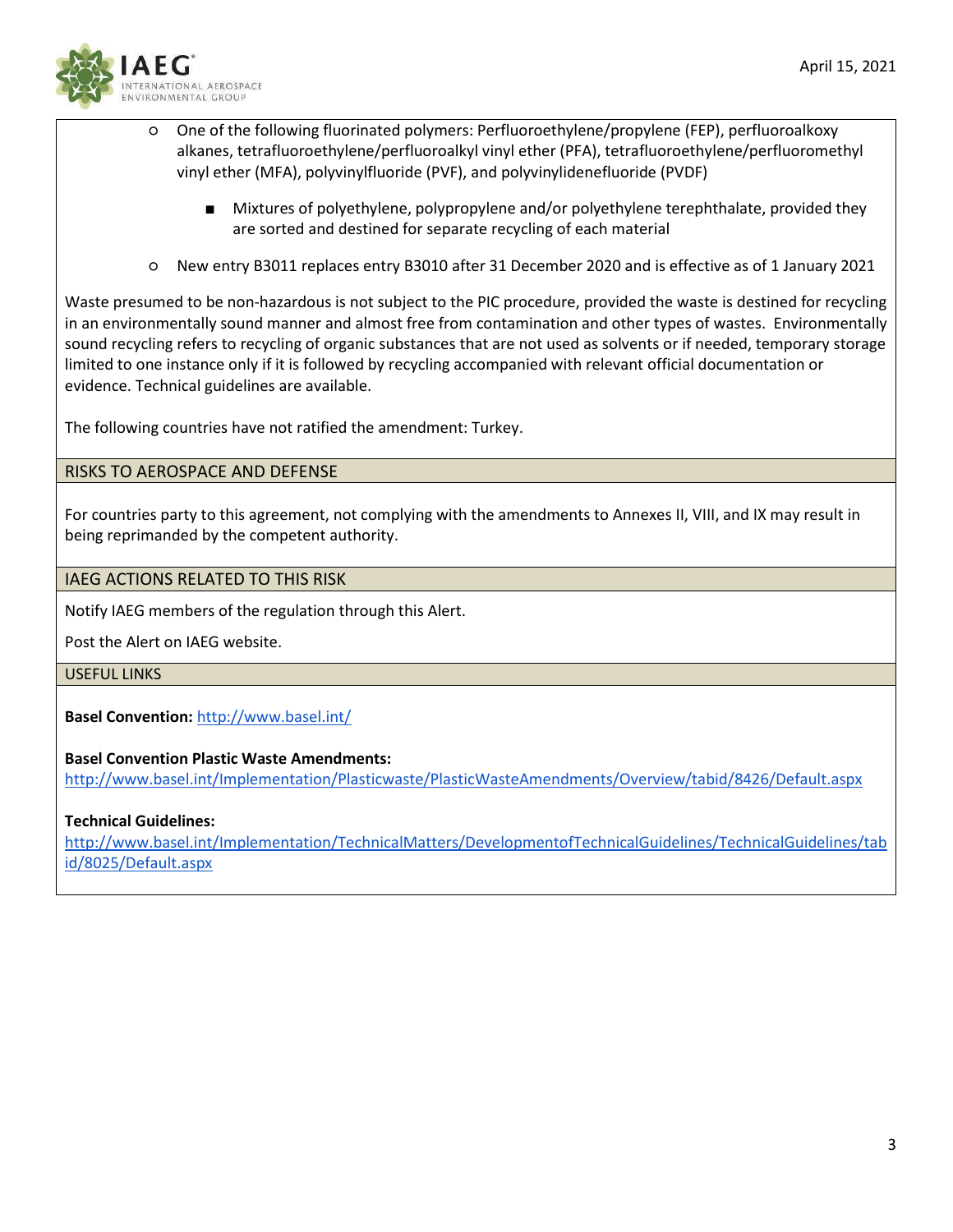

- One of the following fluorinated polymers: Perfluoroethylene/propylene (FEP), perfluoroalkoxy alkanes, tetrafluoroethylene/perfluoroalkyl vinyl ether (PFA), tetrafluoroethylene/perfluoromethyl vinyl ether (MFA), polyvinylfluoride (PVF), and polyvinylidenefluoride (PVDF)
	- Mixtures of polyethylene, polypropylene and/or polyethylene terephthalate, provided they are sorted and destined for separate recycling of each material
- New entry B3011 replaces entry B3010 after 31 December 2020 and is effective as of 1 January 2021

Waste presumed to be non-hazardous is not subject to the PIC procedure, provided the waste is destined for recycling in an environmentally sound manner and almost free from contamination and other types of wastes. Environmentally sound recycling refers to recycling of organic substances that are not used as solvents or if needed, temporary storage limited to one instance only if it is followed by recycling accompanied with relevant official documentation or evidence. Technical guidelines are available.

The following countries have not ratified the amendment: Turkey.

# RISKS TO AEROSPACE AND DEFENSE

For countries party to this agreement, not complying with the amendments to Annexes II, VIII, and IX may result in being reprimanded by the competent authority.

# IAEG ACTIONS RELATED TO THIS RISK

Notify IAEG members of the regulation through this Alert.

Post the Alert on IAEG website.

#### USEFUL LINKS

**Basel Convention:** <http://www.basel.int/>

# **Basel Convention Plastic Waste Amendments:**

<http://www.basel.int/Implementation/Plasticwaste/PlasticWasteAmendments/Overview/tabid/8426/Default.aspx>

# **Technical Guidelines:**

[http://www.basel.int/Implementation/TechnicalMatters/DevelopmentofTechnicalGuidelines/TechnicalGuidelines/tab](http://www.basel.int/Implementation/TechnicalMatters/DevelopmentofTechnicalGuidelines/TechnicalGuidelines/tabid/8025/Default.aspx) [id/8025/Default.aspx](http://www.basel.int/Implementation/TechnicalMatters/DevelopmentofTechnicalGuidelines/TechnicalGuidelines/tabid/8025/Default.aspx)